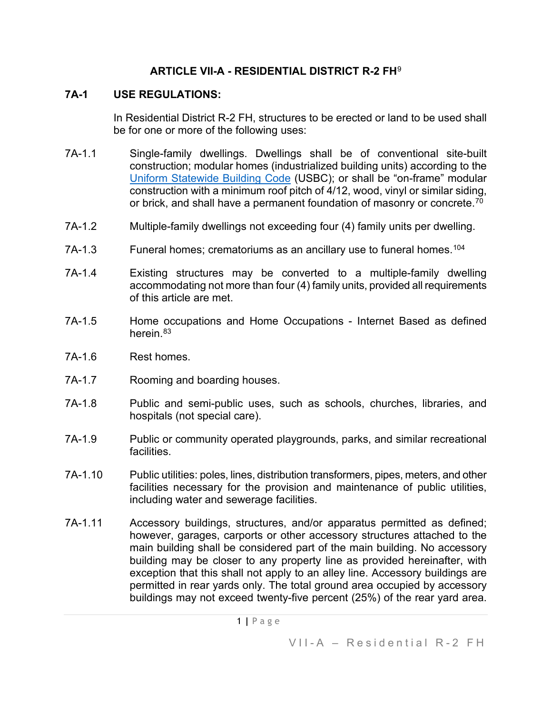### **ARTICLE VII-A - RESIDENTIAL DISTRICT R-2 FH**[9](#page-6-0)

### **7A-1 USE REGULATIONS:**

In Residential District R-2 FH, structures to be erected or land to be used shall be for one or more of the following uses:

- 7A-1.1 Single-family dwellings. Dwellings shall be of conventional site-built construction; modular homes (industrialized building units) according to the [Uniform Statewide Building Code](https://law.lis.virginia.gov/vacode/title36/chapter6/) (USBC); or shall be "on-frame" modular construction with a minimum roof pitch of 4/12, wood, vinyl or similar siding, or brick, and shall have a permanent foundation of masonry or concrete. $^{70}$
- 7A-1.2 Multiple-family dwellings not exceeding four (4) family units per dwelling.
- 7A-1.3 Funeral homes; crematoriums as an ancillary use to funeral homes.<sup>[104](#page-6-2)</sup>
- 7A-1.4 Existing structures may be converted to a multiple-family dwelling accommodating not more than four (4) family units, provided all requirements of this article are met.
- 7A-1.5 Home occupations and Home Occupations Internet Based as defined herein.<sup>[83](#page-6-3)</sup>
- 7A-1.6 Rest homes.
- 7A-1.7 Rooming and boarding houses.
- 7A-1.8 Public and semi-public uses, such as schools, churches, libraries, and hospitals (not special care).
- 7A-1.9 Public or community operated playgrounds, parks, and similar recreational facilities.
- 7A-1.10 Public utilities: poles, lines, distribution transformers, pipes, meters, and other facilities necessary for the provision and maintenance of public utilities, including water and sewerage facilities.
- 7A-1.11 Accessory buildings, structures, and/or apparatus permitted as defined; however, garages, carports or other accessory structures attached to the main building shall be considered part of the main building. No accessory building may be closer to any property line as provided hereinafter, with exception that this shall not apply to an alley line. Accessory buildings are permitted in rear yards only. The total ground area occupied by accessory buildings may not exceed twenty-five percent (25%) of the rear yard area.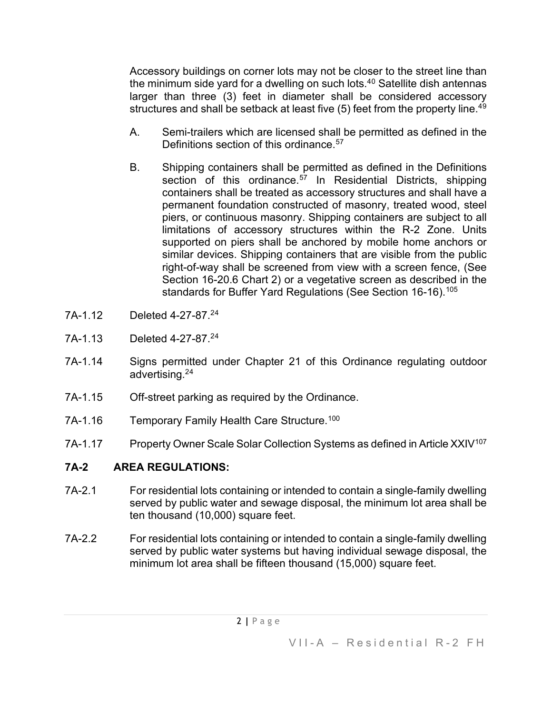Accessory buildings on corner lots may not be closer to the street line than the minimum side yard for a dwelling on such lots.4[0](#page-6-4) Satellite dish antennas larger than three (3) feet in diameter shall be considered accessory structures and shall be setback at least five (5) feet from the property line.<sup>[49](#page-6-5)</sup>

- A. Semi-trailers which are licensed shall be permitted as defined in the Definitions section of this ordinance.<sup>[57](#page-6-6)</sup>
- B. Shipping containers shall be permitted as defined in the Definitions section of this ordinance.<sup>[57](#page-6-7)</sup> In Residential Districts, shipping containers shall be treated as accessory structures and shall have a permanent foundation constructed of masonry, treated wood, steel piers, or continuous masonry. Shipping containers are subject to all limitations of accessory structures within the R-2 Zone. Units supported on piers shall be anchored by mobile home anchors or similar devices. Shipping containers that are visible from the public right-of-way shall be screened from view with a screen fence, (See Section 16-20.6 Chart 2) or a vegetative screen as described in the standards for Buffer Yard Regulations (See Section 16-16).<sup>[105](#page-6-8)</sup>
- 7A-1.12 Deleted 4-27-87.2[4](#page-6-9)
- 7A-1.13 Deleted 4-27-87.2[4](#page-6-10)
- 7A-1.14 Signs permitted under Chapter 21 of this Ordinance regulating outdoor advertising.2[4](#page-6-11)
- 7A-1.15 Off-street parking as required by the Ordinance.
- 7A-1.16 Temporary Family Health Care Structure.<sup>[100](#page-6-12)</sup>
- 7A-1.17 Property Owner Scale Solar Collection Systems as defined in Article XXIV<sup>[107](#page-6-13)</sup>

# **7A-2 AREA REGULATIONS:**

- 7A-2.1 For residential lots containing or intended to contain a single-family dwelling served by public water and sewage disposal, the minimum lot area shall be ten thousand (10,000) square feet.
- 7A-2.2 For residential lots containing or intended to contain a single-family dwelling served by public water systems but having individual sewage disposal, the minimum lot area shall be fifteen thousand (15,000) square feet.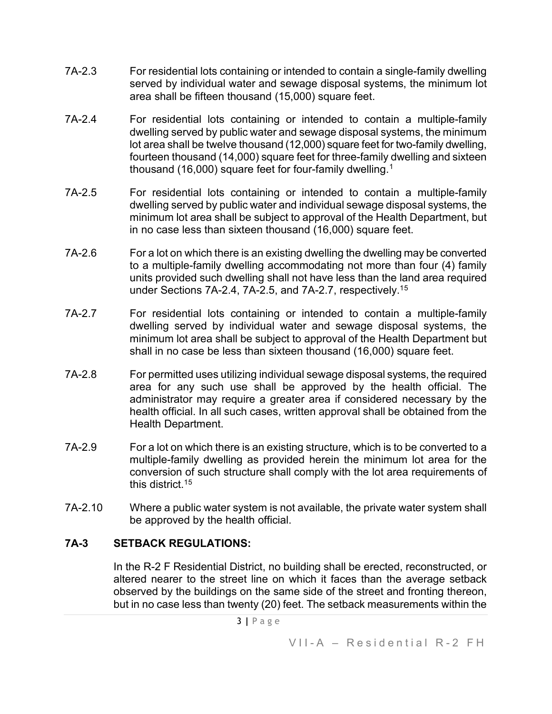- 7A-2.3 For residential lots containing or intended to contain a single-family dwelling served by individual water and sewage disposal systems, the minimum lot area shall be fifteen thousand (15,000) square feet.
- 7A-2.4 For residential lots containing or intended to contain a multiple-family dwelling served by public water and sewage disposal systems, the minimum lot area shall be twelve thousand (12,000) square feet for two-family dwelling, fourteen thousand (14,000) square feet for three-family dwelling and sixteen thousand ([1](#page-6-14)6,000) square feet for four-family dwelling.<sup>1</sup>
- 7A-2.5 For residential lots containing or intended to contain a multiple-family dwelling served by public water and individual sewage disposal systems, the minimum lot area shall be subject to approval of the Health Department, but in no case less than sixteen thousand (16,000) square feet.
- 7A-2.6 For a lot on which there is an existing dwelling the dwelling may be converted to a multiple-family dwelling accommodating not more than four (4) family units provided such dwelling shall not have less than the land area required under Sections 7A-2.4, 7A-2.5, and 7A-2.7, respectively.[15](#page-6-15)
- 7A-2.7 For residential lots containing or intended to contain a multiple-family dwelling served by individual water and sewage disposal systems, the minimum lot area shall be subject to approval of the Health Department but shall in no case be less than sixteen thousand (16,000) square feet.
- 7A-2.8 For permitted uses utilizing individual sewage disposal systems, the required area for any such use shall be approved by the health official. The administrator may require a greater area if considered necessary by the health official. In all such cases, written approval shall be obtained from the Health Department.
- 7A-2.9 For a lot on which there is an existing structure, which is to be converted to a multiple-family dwelling as provided herein the minimum lot area for the conversion of such structure shall comply with the lot area requirements of this district.1[5](#page-6-16)
- 7A-2.10 Where a public water system is not available, the private water system shall be approved by the health official.

## **7A-3 SETBACK REGULATIONS:**

In the R-2 F Residential District, no building shall be erected, reconstructed, or altered nearer to the street line on which it faces than the average setback observed by the buildings on the same side of the street and fronting thereon, but in no case less than twenty (20) feet. The setback measurements within the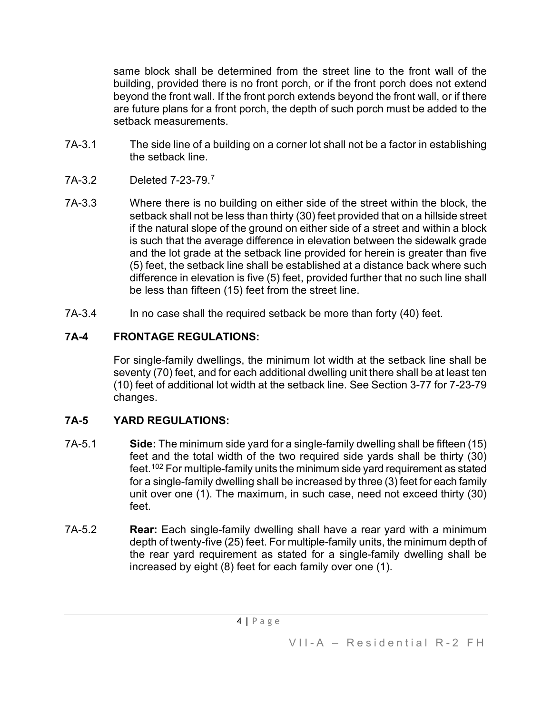same block shall be determined from the street line to the front wall of the building, provided there is no front porch, or if the front porch does not extend beyond the front wall. If the front porch extends beyond the front wall, or if there are future plans for a front porch, the depth of such porch must be added to the setback measurements.

- 7A-3.1 The side line of a building on a corner lot shall not be a factor in establishing the setback line.
- 7A-3.2 Deleted 7-23-79.[7](#page-6-17)
- 7A-3.3 Where there is no building on either side of the street within the block, the setback shall not be less than thirty (30) feet provided that on a hillside street if the natural slope of the ground on either side of a street and within a block is such that the average difference in elevation between the sidewalk grade and the lot grade at the setback line provided for herein is greater than five (5) feet, the setback line shall be established at a distance back where such difference in elevation is five (5) feet, provided further that no such line shall be less than fifteen (15) feet from the street line.
- 7A-3.4 In no case shall the required setback be more than forty (40) feet.

# **7A-4 FRONTAGE REGULATIONS:**

For single-family dwellings, the minimum lot width at the setback line shall be seventy (70) feet, and for each additional dwelling unit there shall be at least ten (10) feet of additional lot width at the setback line. See Section 3-77 for 7-23-79 changes.

# **7A-5 YARD REGULATIONS:**

- 7A-5.1 **Side:** The minimum side yard for a single-family dwelling shall be fifteen (15) feet and the total width of the two required side yards shall be thirty (30) feet.[102](#page-6-18) For multiple-family units the minimum side yard requirement as stated for a single-family dwelling shall be increased by three (3) feet for each family unit over one (1). The maximum, in such case, need not exceed thirty (30) feet.
- 7A-5.2 **Rear:** Each single-family dwelling shall have a rear yard with a minimum depth of twenty-five (25) feet. For multiple-family units, the minimum depth of the rear yard requirement as stated for a single-family dwelling shall be increased by eight (8) feet for each family over one (1).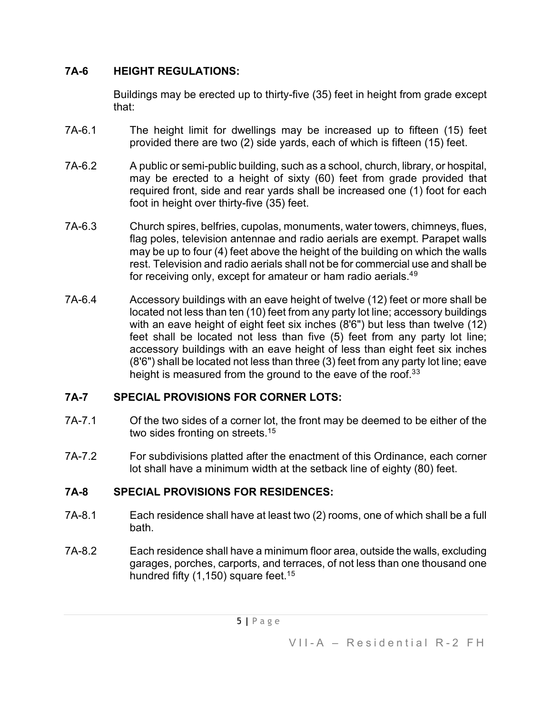## **7A-6 HEIGHT REGULATIONS:**

Buildings may be erected up to thirty-five (35) feet in height from grade except that:

- 7A-6.1 The height limit for dwellings may be increased up to fifteen (15) feet provided there are two (2) side yards, each of which is fifteen (15) feet.
- 7A-6.2 A public or semi-public building, such as a school, church, library, or hospital, may be erected to a height of sixty (60) feet from grade provided that required front, side and rear yards shall be increased one (1) foot for each foot in height over thirty-five (35) feet.
- 7A-6.3 Church spires, belfries, cupolas, monuments, water towers, chimneys, flues, flag poles, television antennae and radio aerials are exempt. Parapet walls may be up to four (4) feet above the height of the building on which the walls rest. Television and radio aerials shall not be for commercial use and shall be for receiving only, except for amateur or ham radio aerials.<sup>4[9](#page-6-19)</sup>
- 7A-6.4 Accessory buildings with an eave height of twelve (12) feet or more shall be located not less than ten (10) feet from any party lot line; accessory buildings with an eave height of eight feet six inches (8'6") but less than twelve (12) feet shall be located not less than five (5) feet from any party lot line; accessory buildings with an eave height of less than eight feet six inches (8'6") shall be located not less than three (3) feet from any party lot line; eave height is measured from the ground to the eave of the roof.<sup>[3](#page-6-20)3</sup>

## **7A-7 SPECIAL PROVISIONS FOR CORNER LOTS:**

- 7A-7.1 Of the two sides of a corner lot, the front may be deemed to be either of the two sides fronting on streets.<sup>1[5](#page-6-21)</sup>
- 7A-7.2 For subdivisions platted after the enactment of this Ordinance, each corner lot shall have a minimum width at the setback line of eighty (80) feet.

## **7A-8 SPECIAL PROVISIONS FOR RESIDENCES:**

- 7A-8.1 Each residence shall have at least two (2) rooms, one of which shall be a full bath.
- 7A-8.2 Each residence shall have a minimum floor area, outside the walls, excluding garages, porches, carports, and terraces, of not less than one thousand one hundred fifty (1,1[5](#page-6-22)0) square feet.<sup>15</sup>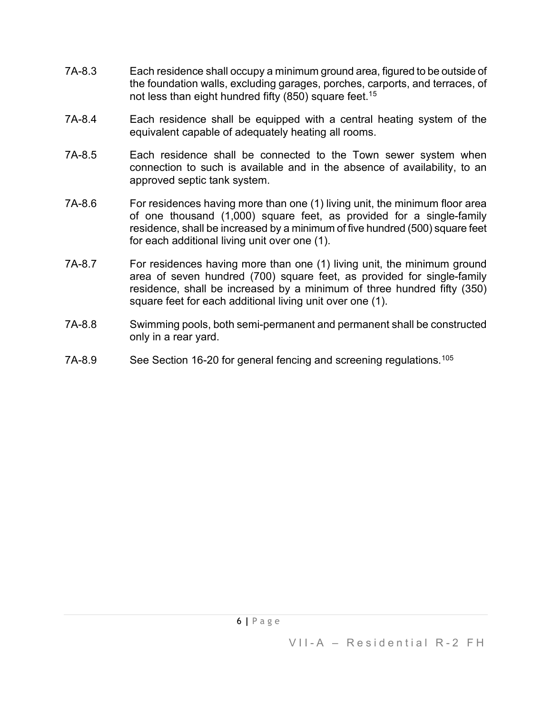- 7A-8.3 Each residence shall occupy a minimum ground area, figured to be outside of the foundation walls, excluding garages, porches, carports, and terraces, of not less than eight hundred fifty  $(850)$  $(850)$  $(850)$  square feet.<sup>15</sup>
- 7A-8.4 Each residence shall be equipped with a central heating system of the equivalent capable of adequately heating all rooms.
- 7A-8.5 Each residence shall be connected to the Town sewer system when connection to such is available and in the absence of availability, to an approved septic tank system.
- 7A-8.6 For residences having more than one (1) living unit, the minimum floor area of one thousand (1,000) square feet, as provided for a single-family residence, shall be increased by a minimum of five hundred (500) square feet for each additional living unit over one (1).
- 7A-8.7 For residences having more than one (1) living unit, the minimum ground area of seven hundred (700) square feet, as provided for single-family residence, shall be increased by a minimum of three hundred fifty (350) square feet for each additional living unit over one (1).
- 7A-8.8 Swimming pools, both semi-permanent and permanent shall be constructed only in a rear yard.
- 7A-8.9 See Section 16-20 for general fencing and screening regulations.<sup>[105](#page-6-24)</sup>